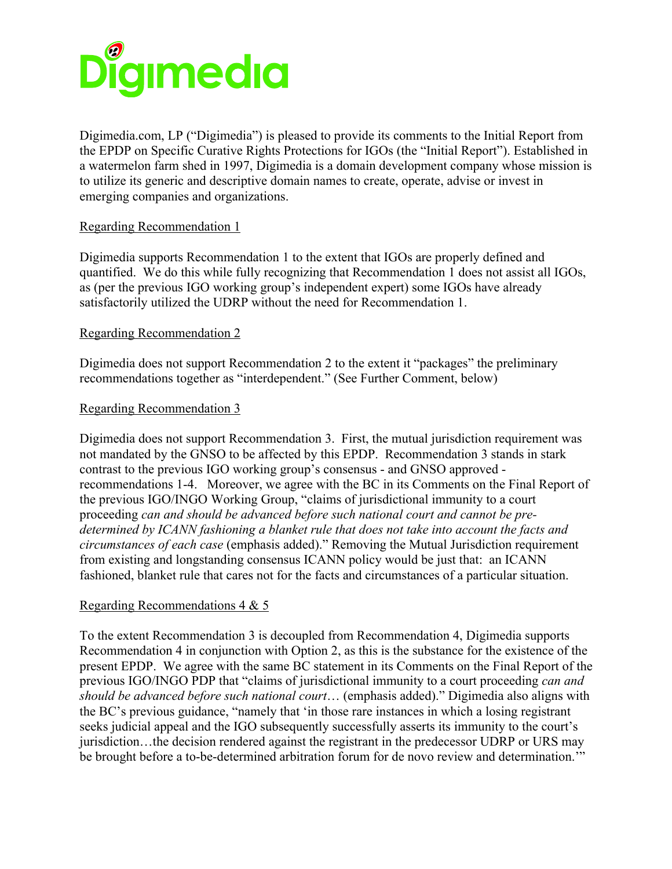

Digimedia.com, LP ("Digimedia") is pleased to provide its comments to the Initial Report from the EPDP on Specific Curative Rights Protections for IGOs (the "Initial Report"). Established in a watermelon farm shed in 1997, Digimedia is a domain development company whose mission is to utilize its generic and descriptive domain names to create, operate, advise or invest in emerging companies and organizations.

# Regarding Recommendation 1

Digimedia supports Recommendation 1 to the extent that IGOs are properly defined and quantified. We do this while fully recognizing that Recommendation 1 does not assist all IGOs, as (per the previous IGO working group's independent expert) some IGOs have already satisfactorily utilized the UDRP without the need for Recommendation 1.

## Regarding Recommendation 2

Digimedia does not support Recommendation 2 to the extent it "packages" the preliminary recommendations together as "interdependent." (See Further Comment, below)

## Regarding Recommendation 3

Digimedia does not support Recommendation 3. First, the mutual jurisdiction requirement was not mandated by the GNSO to be affected by this EPDP. Recommendation 3 stands in stark contrast to the previous IGO working group's consensus - and GNSO approved recommendations 1-4. Moreover, we agree with the BC in its Comments on the Final Report of the previous IGO/INGO Working Group, "claims of jurisdictional immunity to a court proceeding *can and should be advanced before such national court and cannot be predetermined by ICANN fashioning a blanket rule that does not take into account the facts and circumstances of each case* (emphasis added)." Removing the Mutual Jurisdiction requirement from existing and longstanding consensus ICANN policy would be just that: an ICANN fashioned, blanket rule that cares not for the facts and circumstances of a particular situation.

# Regarding Recommendations 4 & 5

To the extent Recommendation 3 is decoupled from Recommendation 4, Digimedia supports Recommendation 4 in conjunction with Option 2, as this is the substance for the existence of the present EPDP. We agree with the same BC statement in its Comments on the Final Report of the previous IGO/INGO PDP that "claims of jurisdictional immunity to a court proceeding *can and should be advanced before such national court*… (emphasis added)." Digimedia also aligns with the BC's previous guidance, "namely that 'in those rare instances in which a losing registrant seeks judicial appeal and the IGO subsequently successfully asserts its immunity to the court's jurisdiction…the decision rendered against the registrant in the predecessor UDRP or URS may be brought before a to-be-determined arbitration forum for de novo review and determination."